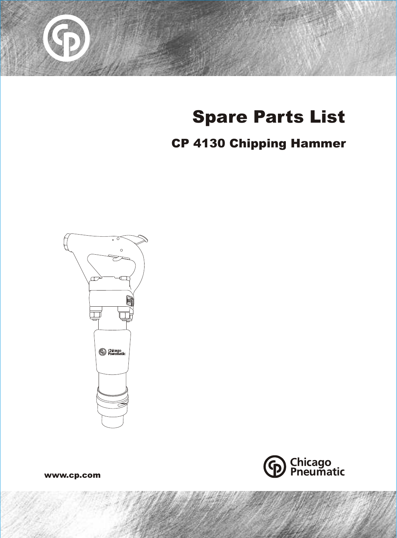

# **Spare Parts List**

## **CP 4130 Chipping Hammer**





www.cp.com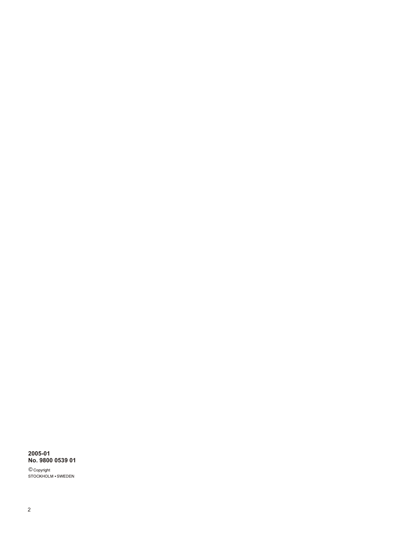## 2005-01<br>No. 9800 0539 01

© Copyright<br>STOCKHOLM • SWEDEN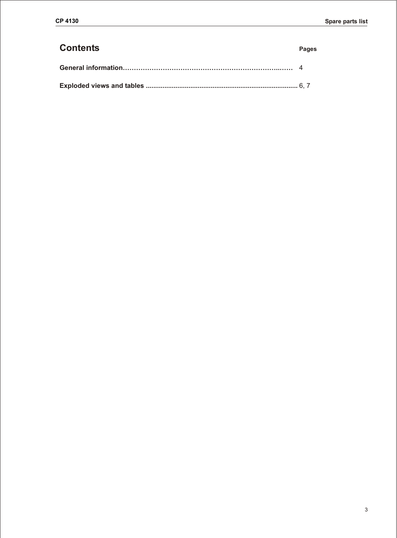### **Contents Pages**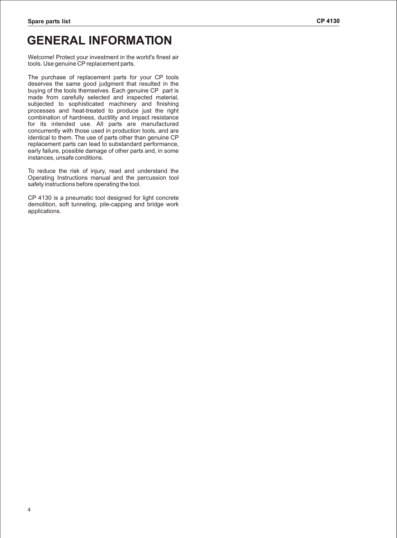## **GENERAL INFORMATION**

Welcome! Protect your investment in the world's finest air tools. Use genuine CP replacement parts.

The purchase of replacement parts for your CP tools deserves the same good judgment that resulted in the buying of the tools themselves. Each genuine CP part is made from carefully selected and inspected material, subjected to sophisticated machinery and finishing processes and heat-treated to produce just the right combination of hardness, ductility and impact resistance for its intended use. All parts are manufactured concurrently with those used in production tools, and are identical to them. The use of parts other than genuine CP replacement parts can lead to substandard performance, early failure, possible damage of other parts and, in some instances, unsafe conditions.

To reduce the risk of injury, read and understand the Operating Instructions manual and the percussion tool safety instructions before operating the tool.

CP 4130 is a pneumatic tool designed for light concrete demolition, soft tunneling, pile-capping and bridge work applications.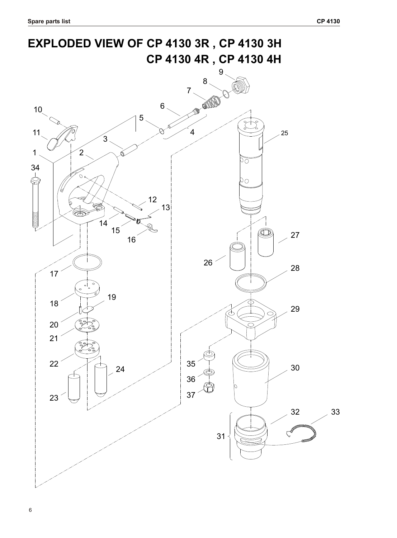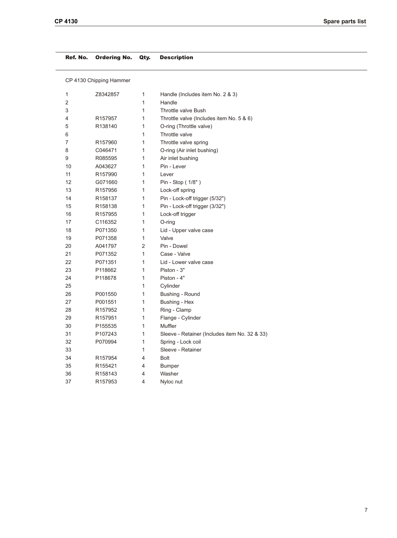#### Ref. No. Ordering No. Qty. Description

CP 4130 Chipping Hammer

| 1  | Z8342857            | 1 | Handle (Includes item No. 2 & 3)              |
|----|---------------------|---|-----------------------------------------------|
| 2  |                     | 1 | Handle                                        |
| 3  |                     | 1 | <b>Throttle valve Bush</b>                    |
| 4  | R157957             | 1 | Throttle valve (Includes item No. 5 & 6)      |
| 5  | R138140             | 1 | O-ring (Throttle valve)                       |
| 6  |                     | 1 | Throttle valve                                |
| 7  | R157960             | 1 | Throttle valve spring                         |
| 8  | C046471             | 1 | O-ring (Air inlet bushing)                    |
| 9  | R085595             | 1 | Air inlet bushing                             |
| 10 | A043627             | 1 | Pin - Lever                                   |
| 11 | R157990             | 1 | Lever                                         |
| 12 | G071660             | 1 | Pin - Stop (1/8")                             |
| 13 | R157956             | 1 | Lock-off spring                               |
| 14 | R158137             | 1 | Pin - Lock-off trigger (5/32")                |
| 15 | R158138             | 1 | Pin - Lock-off trigger (3/32")                |
| 16 | R <sub>157955</sub> | 1 | Lock-off trigger                              |
| 17 | C116352             | 1 | O-ring                                        |
| 18 | P071350             | 1 | Lid - Upper valve case                        |
| 19 | P071358             | 1 | Valve                                         |
| 20 | A041797             | 2 | Pin - Dowel                                   |
| 21 | P071352             | 1 | Case - Valve                                  |
| 22 | P071351             | 1 | Lid - Lower valve case                        |
| 23 | P118662             | 1 | Piston - 3"                                   |
| 24 | P118678             | 1 | Piston - 4"                                   |
| 25 |                     | 1 | Cylinder                                      |
| 26 | P001550             | 1 | Bushing - Round                               |
| 27 | P001551             | 1 | Bushing - Hex                                 |
| 28 | R157952             | 1 | Ring - Clamp                                  |
| 29 | R157951             | 1 | Flange - Cylinder                             |
| 30 | P155535             | 1 | Muffler                                       |
| 31 | P107243             | 1 | Sleeve - Retainer (Includes item No. 32 & 33) |
| 32 | P070994             | 1 | Spring - Lock coil                            |
| 33 |                     | 1 | Sleeve - Retainer                             |
| 34 | R <sub>157954</sub> | 4 | <b>Bolt</b>                                   |
| 35 | R <sub>155421</sub> | 4 | Bumper                                        |
| 36 | R158143             | 4 | Washer                                        |
| 37 | R157953             | 4 | Nyloc nut                                     |